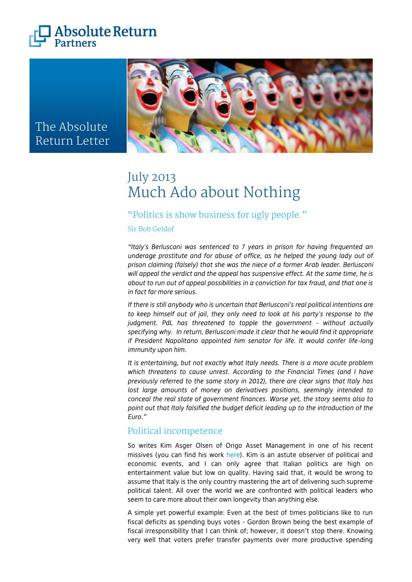



# The Absolute Return Letter

# July 2013 Much Ado about Nothing

# "Politics is show business for ugly people."

Sir Bob Geldof

*"Italy's Berlusconi was sentenced to 7 years in prison for having frequented an underage prostitute and for abuse of office, as he helped the young lady out of prison claiming (falsely) that she was the niece of a former Arab leader. Berlusconi will appeal the verdict and the appeal has suspensive effect. At the same time, he is about to run out of appeal possibilities in a conviction for tax fraud, and that one is in fact far more serious.* 

*If there is still anybody who is uncertain that Berlusconi's real political intentions are to keep himself out of jail, they only need to look at his party's response to the judgment. PdL has threatened to topple the government - without actually specifying why. In return, Berlusconi made it clear that he would find it appropriate if President Napolitano appointed him senator for life. It would confer life-long immunity upon him.*

*It is entertaining, but not exactly what Italy needs. There is a more acute problem which threatens to cause unrest. According to the Financial Times (and I have previously referred to the same story in 2012), there are clear signs that Italy has lost large amounts of money on derivatives positions, seemingly intended to conceal the real state of government finances. Worse yet, the story seems also to point out that Italy falsified the budget deficit leading up to the introduction of the Euro."*

# Political incompetence

So writes Kim Asger Olsen of Origo Asset Management in one of his recent missives (you can find his work [here\)](http://www.origo.lu/index.php/publications-and-news/origo-blog). Kim is an astute observer of political and economic events, and I can only agree that Italian politics are high on entertainment value but low on quality. Having said that, it would be wrong to assume that Italy is the only country mastering the art of delivering such supreme political talent. All over the world we are confronted with political leaders who seem to care more about their own longevity than anything else.

A simple yet powerful example: Even at the best of times politicians like to run fiscal deficits as spending buys votes - Gordon Brown being the best example of fiscal irresponsibility that I can think of; however, it doesn't stop there. Knowing very well that voters prefer transfer payments over more productive spending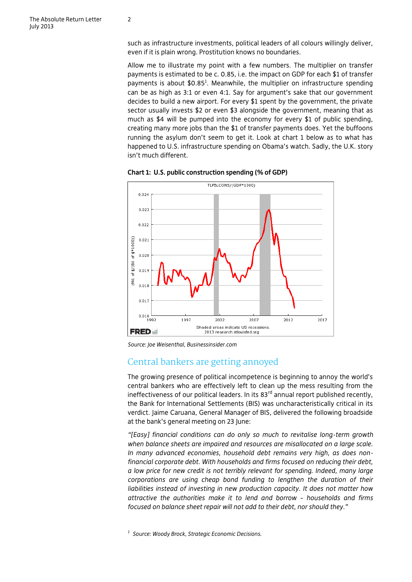such as infrastructure investments, political leaders of all colours willingly deliver, even if it is plain wrong. Prostitution knows no boundaries.

Allow me to illustrate my point with a few numbers. The multiplier on transfer payments is estimated to be c. 0.85, i.e. the impact on GDP for each \$1 of transfer payments is about  $$0.85<sup>1</sup>$ . Meanwhile, the multiplier on infrastructure spending can be as high as 3:1 or even 4:1. Say for argument's sake that our government decides to build a new airport. For every \$1 spent by the government, the private sector usually invests \$2 or even \$3 alongside the government, meaning that as much as \$4 will be pumped into the economy for every \$1 of public spending, creating many more jobs than the \$1 of transfer payments does. Yet the buffoons running the asylum don't seem to get it. Look at chart 1 below as to what has happened to U.S. infrastructure spending on Obama's watch. Sadly, the U.K. story isn't much different.



**Chart 1: U.S. public construction spending (% of GDP)**

*Source: Joe Weisenthal, Businessinsider.com*

## Central bankers are getting annoyed

The growing presence of political incompetence is beginning to annoy the world's central bankers who are effectively left to clean up the mess resulting from the ineffectiveness of our political leaders. In its  $83<sup>rd</sup>$  annual report published recently, the Bank for International Settlements (BIS) was uncharacteristically critical in its verdict. Jaime Caruana, General Manager of BIS, delivered the following broadside at the bank's general meeting on 23 June:

*"[Easy] financial conditions can do only so much to revitalise long-term growth when balance sheets are impaired and resources are misallocated on a large scale. In many advanced economies, household debt remains very high, as does nonfinancial corporate debt. With households and firms focused on reducing their debt, a low price for new credit is not terribly relevant for spending. Indeed, many large corporations are using cheap bond funding to lengthen the duration of their liabilities instead of investing in new production capacity. It does not matter how attractive the authorities make it to lend and borrow – households and firms focused on balance sheet repair will not add to their debt, nor should they."*

*1 Source: Woody Brock, Strategic Economic Decisions.*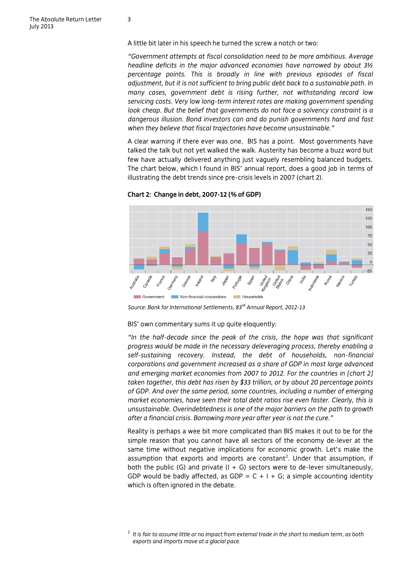A little bit later in his speech he turned the screw a notch or two:

*"Government attempts at fiscal consolidation need to be more ambitious. Average headline deficits in the major advanced economies have narrowed by about 3½ percentage points. This is broadly in line with previous episodes of fiscal adjustment, but it is not sufficient to bring public debt back to a sustainable path. In many cases, government debt is rising further, not withstanding record low servicing costs. Very low long-term interest rates are making government spending look cheap. But the belief that governments do not face a solvency constraint is a dangerous illusion. Bond investors can and do punish governments hard and fast when they believe that fiscal trajectories have become unsustainable."*

A clear warning if there ever was one. BIS has a point. Most governments have talked the talk but not yet walked the walk. Austerity has become a buzz word but few have actually delivered anything just vaguely resembling balanced budgets. The chart below, which I found in BIS' annual report, does a good job in terms of illustrating the debt trends since pre-crisis levels in 2007 (chart 2).

**Chart 2: Change in debt, 2007-12 (% of GDP)**



*Source: Bank for International Settlements, 83rd Annual Report, 2012-13*

BIS' own commentary sums it up quite eloquently:

*"In the half-decade since the peak of the crisis, the hope was that significant progress would be made in the necessary deleveraging process, thereby enabling a self-sustaining recovery. Instead, the debt of households, non-financial corporations and government increased as a share of GDP in most large advanced and emerging market economies from 2007 to 2012. For the countries in [chart 2] taken together, this debt has risen by \$33 trillion, or by about 20 percentage points of GDP. And over the same period, some countries, including a number of emerging market economies, have seen their total debt ratios rise even faster. Clearly, this is unsustainable. Overindebtedness is one of the major barriers on the path to growth after a financial crisis. Borrowing more year after year is not the cure."*

Reality is perhaps a wee bit more complicated than BIS makes it out to be for the simple reason that you cannot have all sectors of the economy de-lever at the same time without negative implications for economic growth. Let's make the assumption that exports and imports are constant<sup>2</sup>. Under that assumption, if both the public (G) and private  $(I + G)$  sectors were to de-lever simultaneously, GDP would be badly affected, as GDP =  $C + I + G$ ; a simple accounting identity which is often ignored in the debate.

*<sup>2</sup> It is fair to assume little or no impact from external trade in the short to medium term, as both exports and imports move at a glacial pace.*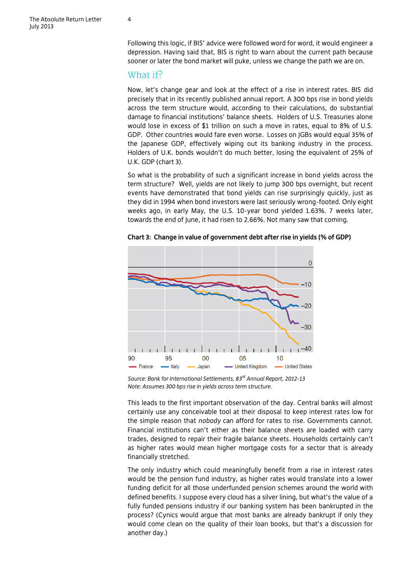Following this logic, if BIS' advice were followed word for word, it would engineer a depression. Having said that, BIS is right to warn about the current path because sooner or later the bond market will puke, unless we change the path we are on.

### What if?

Now, let's change gear and look at the effect of a rise in interest rates. BIS did precisely that in its recently published annual report. A 300 bps rise in bond yields across the term structure would, according to their calculations, do substantial damage to financial institutions' balance sheets. Holders of U.S. Treasuries alone would lose in excess of \$1 trillion on such a move in rates, equal to 8% of U.S. GDP. Other countries would fare even worse. Losses on JGBs would equal 35% of the Japanese GDP, effectively wiping out its banking industry in the process. Holders of U.K. bonds wouldn't do much better, losing the equivalent of 25% of U.K. GDP (chart 3).

So what is the probability of such a significant increase in bond yields across the term structure? Well, yields are not likely to jump 300 bps overnight, but recent events have demonstrated that bond yields can rise surprisingly quickly, just as they did in 1994 when bond investors were last seriously wrong-footed. Only eight weeks ago, in early May, the U.S. 10-year bond yielded 1.63%. 7 weeks later, towards the end of June, it had risen to 2.66%. Not many saw that coming.



**Chart 3: Change in value of government debt after rise in yields (% of GDP)**

*Source: Bank for International Settlements, 83rd Annual Report, 2012-13 Note: Assumes 300 bps rise in yields across term structure.*

This leads to the first important observation of the day. Central banks will almost certainly use any conceivable tool at their disposal to keep interest rates low for the simple reason that *nobody* can afford for rates to rise. Governments cannot. Financial institutions can't either as their balance sheets are loaded with carry trades, designed to repair their fragile balance sheets. Households certainly can't as higher rates would mean higher mortgage costs for a sector that is already financially stretched.

The only industry which could meaningfully benefit from a rise in interest rates would be the pension fund industry, as higher rates would translate into a lower funding deficit for all those underfunded pension schemes around the world with defined benefits. I suppose every cloud has a silver lining, but what's the value of a fully funded pensions industry if our banking system has been bankrupted in the process? (Cynics would argue that most banks are already bankrupt if only they would come clean on the quality of their loan books, but that's a discussion for another day.)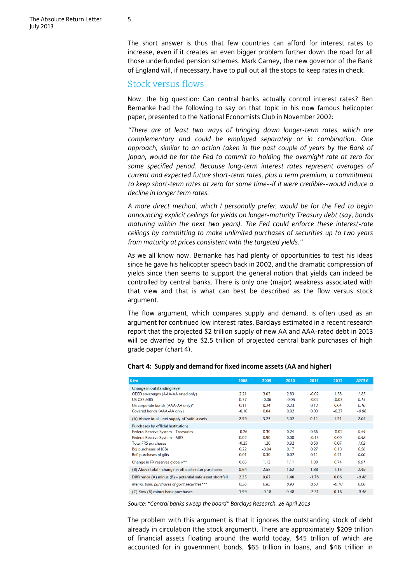The short answer is thus that few countries can afford for interest rates to increase, even if it creates an even bigger problem further down the road for all those underfunded pension schemes. Mark Carney, the new governor of the Bank of England will, if necessary, have to pull out all the stops to keep rates in check.

#### Stock versus flows

Now, the big question: Can central banks actually control interest rates? Ben Bernanke had the following to say on that topic in his now famous helicopter paper, presented to the National Economists Club in November 2002:

*"There are at least two ways of bringing down longer-term rates, which are complementary and could be employed separately or in combination. One approach, similar to an action taken in the past couple of years by the Bank of Japan, would be for the Fed to commit to holding the overnight rate at zero for some specified period. Because long-term interest rates represent averages of current and expected future short-term rates, plus a term premium, a commitment to keep short-term rates at zero for some time--if it were credible--would induce a decline in longer term rates.* 

*A more direct method, which I personally prefer, would be for the Fed to begin announcing explicit ceilings for yields on longer-maturity Treasury debt (say, bonds maturing within the next two years). The Fed could enforce these interest-rate ceilings by committing to make unlimited purchases of securities up to two years from maturity at prices consistent with the targeted yields."*

As we all know now, Bernanke has had plenty of opportunities to test his ideas since he gave his helicopter speech back in 2002, and the dramatic compression of yields since then seems to support the general notion that yields can indeed be controlled by central banks. There is only one (major) weakness associated with that view and that is what can best be described as the flow versus stock argument.

The flow argument, which compares supply and demand, is often used as an argument for continued low interest rates. Barclays estimated in a recent research report that the projected \$2 trillion supply of new AA and AAA-rated debt in 2013 will be dwarfed by the \$2.5 trillion of projected central bank purchases of high grade paper (chart 4).

| \$trn                                                     | 2008    | 2009    | 2010    | 2011    | 2012    | 2013 E  |
|-----------------------------------------------------------|---------|---------|---------|---------|---------|---------|
| Change in outstanding level                               |         |         |         |         |         |         |
| OECD sovereigns (AAA-AA rated only)                       | 2.21    | 3.03    | 2.83    | $-0.02$ | 1.58    | 1.85    |
| <b>US GSE MBS</b>                                         | 0.77    | $-0.06$ | $-0.05$ | $-0.02$ | $-0.03$ | 0.15    |
| US corporate bonds (AAA-AA only)*                         | 0.11    | 0.24    | 0.23    | 0.12    | 0.04    | 0.10    |
| Covered bonds (AAA-AA only)                               | $-0.10$ | 0.04    | 0.02    | 0.03    | $-0.37$ | $-0.06$ |
| (A) Above total – net supply of 'safe' assets             | 2.99    | 3.25    | 3.02    | 0.11    | 1.21    | 2.03    |
| Purchases by official institutions                        |         |         |         |         |         |         |
| Federal Reserve System - Treasuries                       | $-0.26$ | 0.30    | 0.24    | 0.66    | $-0.02$ | 0.54    |
| Federal Reserve System - MBS                              | 0.02    | 0.90    | 0.08    | $-0.15$ | 0.09    | 0.48    |
| <b>Total FRS purchases</b>                                | $-0.25$ | 1.20    | 0.32    | 0.50    | 0.07    | 1.02    |
| <b>BoJ</b> purchases of JGBs                              | 0.22    | $-0.04$ | 0.17    | 0.27    | 0.13    | 0.56    |
| <b>BoE</b> purchases of gilts                             | 0.01    | 0.30    | 0.02    | 0.11    | 0.21    | 0.00    |
| Change in FX reserves globally**                          | 0.66    | 1.13    | 1.11    | 1.00    | 0.74    | 0.91    |
| (B) Above total - change in official sector purchases     | 0.64    | 2.58    | 1.62    | 1.88    | 1.15    | 2.49    |
| Difference (A) minus (B) - potential safe asset shortfall | 2.35    | 0.67    | 1.40    | $-1.78$ | 0.06    | $-0.46$ |
| Memo: bank purchases of gov't securities***               | 0.36    | 0.85    | 0.93    | 0.53    | $-0.10$ | 0.00    |
| (C) Row (B) minus bank purchases                          | 1.99    | $-0.18$ | 0.48    | $-2.31$ | 0.16    | $-0.46$ |

#### **Chart 4: Supply and demand for fixed income assets (AA and higher)**

*Source: "Central banks sweep the board" Barclays Research, 26 April 2013*

The problem with this argument is that it ignores the outstanding stock of debt already in circulation (the stock argument). There are approximately \$209 trillion of financial assets floating around the world today, \$45 trillion of which are accounted for in government bonds, \$65 trillion in loans, and \$46 trillion in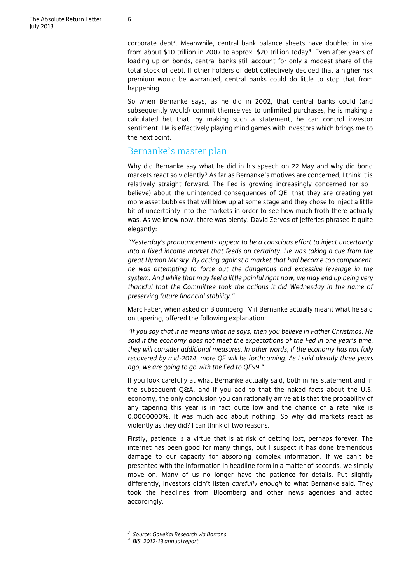corporate debt<sup>3</sup>. Meanwhile, central bank balance sheets have doubled in size from about \$10 trillion in 2007 to approx. \$20 trillion today<sup>4</sup>. Even after years of loading up on bonds, central banks still account for only a modest share of the total stock of debt. If other holders of debt collectively decided that a higher risk premium would be warranted, central banks could do little to stop that from happening.

So when Bernanke says, as he did in 2002, that central banks could (and subsequently would) commit themselves to unlimited purchases, he is making a calculated bet that, by making such a statement, he can control investor sentiment. He is effectively playing mind games with investors which brings me to the next point.

## Bernanke's master plan

Why did Bernanke say what he did in his speech on 22 May and why did bond markets react so violently? As far as Bernanke's motives are concerned, I think it is relatively straight forward. The Fed is growing increasingly concerned (or so I believe) about the unintended consequences of QE, that they are creating yet more asset bubbles that will blow up at some stage and they chose to inject a little bit of uncertainty into the markets in order to see how much froth there actually was. As we know now, there was plenty. David Zervos of Jefferies phrased it quite elegantly:

*"Yesterday's pronouncements appear to be a conscious effort to inject uncertainty into a fixed income market that feeds on certainty. He was taking a cue from the great Hyman Minsky. By acting against a market that had become too complacent, he was attempting to force out the dangerous and excessive leverage in the system. And while that may feel a little painful right now, we may end up being very thankful that the Committee took the actions it did Wednesday in the name of preserving future financial stability."*

Marc Faber, when asked on Bloomberg TV if Bernanke actually meant what he said on tapering, offered the following explanation:

*"If you say that if he means what he says, then you believe in Father Christmas. He said if the economy does not meet the expectations of the Fed in one year's time, they will consider additional measures. In other words, if the economy has not fully recovered by mid-2014, more QE will be forthcoming. As I said already three years ago, we are going to go with the Fed to QE99."*

If you look carefully at what Bernanke actually said, both in his statement and in the subsequent Q&A, and if you add to that the naked facts about the U.S. economy, the only conclusion you can rationally arrive at is that the probability of any tapering this year is in fact quite low and the chance of a rate hike is 0.0000000%. It was much ado about nothing. So why did markets react as violently as they did? I can think of two reasons.

Firstly, patience is a virtue that is at risk of getting lost, perhaps forever. The internet has been good for many things, but I suspect it has done tremendous damage to our capacity for absorbing complex information. If we can't be presented with the information in headline form in a matter of seconds, we simply move on. Many of us no longer have the patience for details. Put slightly differently, investors didn't listen *carefully enough* to what Bernanke said. They took the headlines from Bloomberg and other news agencies and acted accordingly.

*<sup>3</sup> Source: GaveKal Research via Barrons.*

*<sup>4</sup> BIS, 2012-13 annual report.*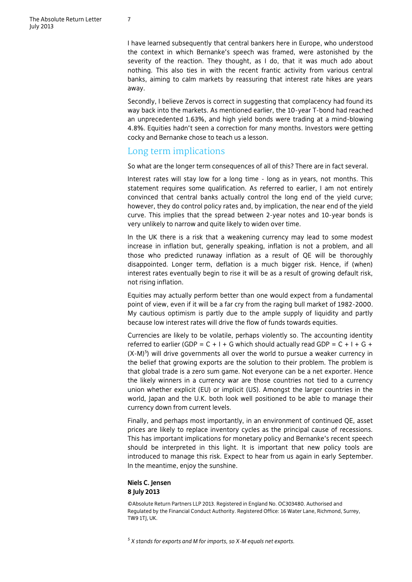I have learned subsequently that central bankers here in Europe, who understood the context in which Bernanke's speech was framed, were astonished by the severity of the reaction. They thought, as I do, that it was much ado about nothing. This also ties in with the recent frantic activity from various central banks, aiming to calm markets by reassuring that interest rate hikes are years away.

Secondly, I believe Zervos is correct in suggesting that complacency had found its way back into the markets. As mentioned earlier, the 10-year T-bond had reached an unprecedented 1.63%, and high yield bonds were trading at a mind-blowing 4.8%. Equities hadn't seen a correction for many months. Investors were getting cocky and Bernanke chose to teach us a lesson.

## Long term implications

So what are the longer term consequences of all of this? There are in fact several.

Interest rates will stay low for a long time - long as in years, not months. This statement requires some qualification. As referred to earlier, I am not entirely convinced that central banks actually control the long end of the yield curve; however, they do control policy rates and, by implication, the near end of the yield curve. This implies that the spread between 2-year notes and 10-year bonds is very unlikely to narrow and quite likely to widen over time.

In the UK there is a risk that a weakening currency may lead to some modest increase in inflation but, generally speaking, inflation is not a problem, and all those who predicted runaway inflation as a result of QE will be thoroughly disappointed. Longer term, deflation is a much bigger risk. Hence, if (when) interest rates eventually begin to rise it will be as a result of growing default risk, not rising inflation.

Equities may actually perform better than one would expect from a fundamental point of view, even if it will be a far cry from the raging bull market of 1982-2000. My cautious optimism is partly due to the ample supply of liquidity and partly because low interest rates will drive the flow of funds towards equities.

Currencies are likely to be volatile, perhaps violently so. The accounting identity referred to earlier (GDP =  $C + I + G$  which should actually read GDP =  $C + I + G +$ (X-M)<sup>5</sup>) will drive governments all over the world to pursue a weaker currency in the belief that growing exports are the solution to their problem. The problem is that global trade is a zero sum game. Not everyone can be a net exporter. Hence the likely winners in a currency war are those countries not tied to a currency union whether explicit (EU) or implicit (US). Amongst the larger countries in the world, Japan and the U.K. both look well positioned to be able to manage their currency down from current levels.

Finally, and perhaps most importantly, in an environment of continued QE, asset prices are likely to replace inventory cycles as the principal cause of recessions. This has important implications for monetary policy and Bernanke's recent speech should be interpreted in this light. It is important that new policy tools are introduced to manage this risk. Expect to hear from us again in early September. In the meantime, enjoy the sunshine.

### **Niels C. Jensen 8 July 2013**

©Absolute Return Partners LLP 2013. Registered in England No. OC303480. Authorised and Regulated by the Financial Conduct Authority. Registered Office: 16 Water Lane, Richmond, Surrey, **TW9 1TI, UK.** 

*5 X stands for exports and M for imports, so X-M equals net exports.*